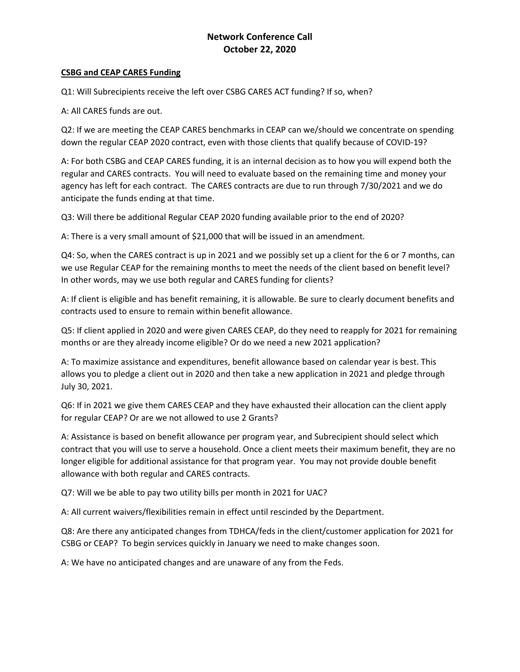## **Network Conference Call October 22, 2020**

#### **CSBG and CEAP CARES Funding**

Q1: Will Subrecipients receive the left over CSBG CARES ACT funding? If so, when?

A: All CARES funds are out.

Q2: If we are meeting the CEAP CARES benchmarks in CEAP can we/should we concentrate on spending down the regular CEAP 2020 contract, even with those clients that qualify because of COVID-19?

A: For both CSBG and CEAP CARES funding, it is an internal decision as to how you will expend both the regular and CARES contracts. You will need to evaluate based on the remaining time and money your agency has left for each contract. The CARES contracts are due to run through 7/30/2021 and we do anticipate the funds ending at that time.

Q3: Will there be additional Regular CEAP 2020 funding available prior to the end of 2020?

A: There is a very small amount of \$21,000 that will be issued in an amendment.

Q4: So, when the CARES contract is up in 2021 and we possibly set up a client for the 6 or 7 months, can we use Regular CEAP for the remaining months to meet the needs of the client based on benefit level? In other words, may we use both regular and CARES funding for clients?

A: If client is eligible and has benefit remaining, it is allowable. Be sure to clearly document benefits and contracts used to ensure to remain within benefit allowance.

Q5: If client applied in 2020 and were given CARES CEAP, do they need to reapply for 2021 for remaining months or are they already income eligible? Or do we need a new 2021 application?

A: To maximize assistance and expenditures, benefit allowance based on calendar year is best. This allows you to pledge a client out in 2020 and then take a new application in 2021 and pledge through July 30, 2021.

Q6: If in 2021 we give them CARES CEAP and they have exhausted their allocation can the client apply for regular CEAP? Or are we not allowed to use 2 Grants?

A: Assistance is based on benefit allowance per program year, and Subrecipient should select which contract that you will use to serve a household. Once a client meets their maximum benefit, they are no longer eligible for additional assistance for that program year. You may not provide double benefit allowance with both regular and CARES contracts.

Q7: Will we be able to pay two utility bills per month in 2021 for UAC?

A: All current waivers/flexibilities remain in effect until rescinded by the Department.

Q8: Are there any anticipated changes from TDHCA/feds in the client/customer application for 2021 for CSBG or CEAP? To begin services quickly in January we need to make changes soon.

A: We have no anticipated changes and are unaware of any from the Feds.